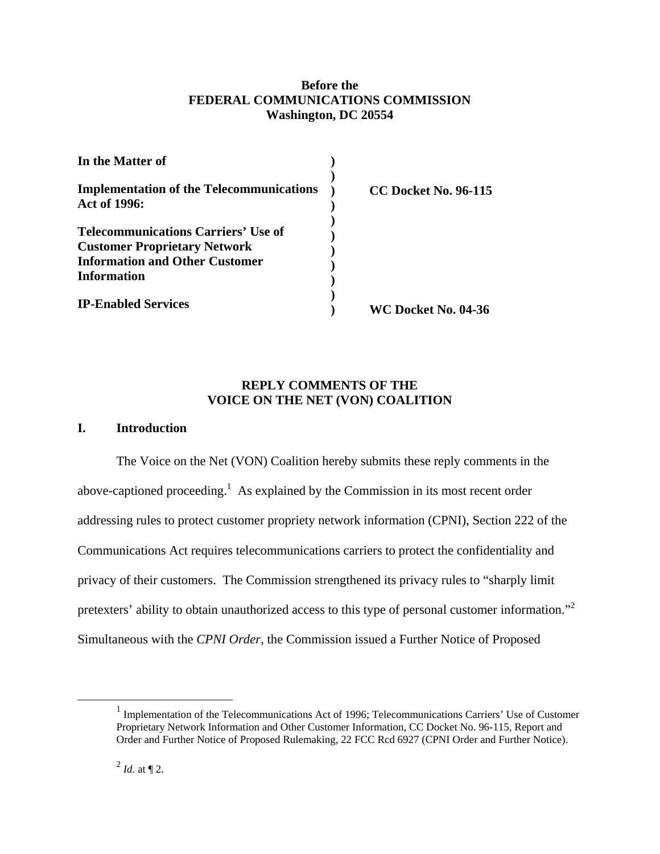### **Before the FEDERAL COMMUNICATIONS COMMISSION Washington, DC 20554**

| In the Matter of                                                |                             |
|-----------------------------------------------------------------|-----------------------------|
| <b>Implementation of the Telecommunications</b><br>Act of 1996: | <b>CC Docket No. 96-115</b> |
| <b>Telecommunications Carriers' Use of</b>                      |                             |
| <b>Customer Proprietary Network</b>                             |                             |
| <b>Information and Other Customer</b>                           |                             |
| <b>Information</b>                                              |                             |
| <b>IP-Enabled Services</b>                                      | WC Docket No. 04-36         |

### **REPLY COMMENTS OF THE VOICE ON THE NET (VON) COALITION**

#### **I. Introduction**

The Voice on the Net (VON) Coalition hereby submits these reply comments in the above-captioned proceeding.<sup>1</sup> As explained by the Commission in its most recent order addressing rules to protect customer propriety network information (CPNI), Section 222 of the Communications Act requires telecommunications carriers to protect the confidentiality and privacy of their customers. The Commission strengthened its privacy rules to "sharply limit pretexters' ability to obtain unauthorized access to this type of personal customer information."<sup>2</sup> Simultaneous with the *CPNI Order*, the Commission issued a Further Notice of Proposed

<sup>&</sup>lt;u>1</u>  $<sup>1</sup>$  Implementation of the Telecommunications Act of 1996; Telecommunications Carriers' Use of Customer</sup> Proprietary Network Information and Other Customer Information, CC Docket No. 96-115, Report and Order and Further Notice of Proposed Rulemaking, 22 FCC Rcd 6927 (CPNI Order and Further Notice).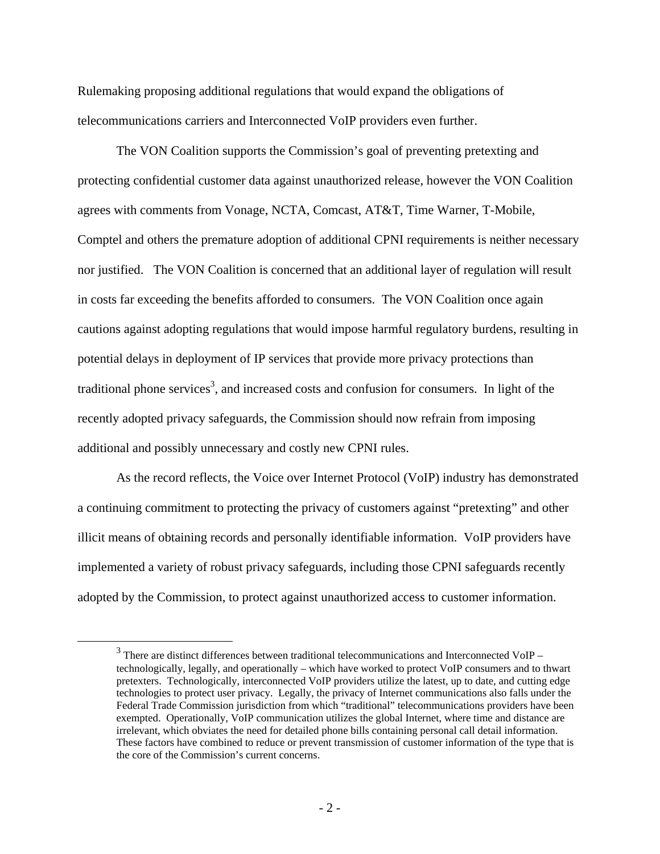Rulemaking proposing additional regulations that would expand the obligations of telecommunications carriers and Interconnected VoIP providers even further.

The VON Coalition supports the Commission's goal of preventing pretexting and protecting confidential customer data against unauthorized release, however the VON Coalition agrees with comments from Vonage, NCTA, Comcast, AT&T, Time Warner, T-Mobile, Comptel and others the premature adoption of additional CPNI requirements is neither necessary nor justified. The VON Coalition is concerned that an additional layer of regulation will result in costs far exceeding the benefits afforded to consumers. The VON Coalition once again cautions against adopting regulations that would impose harmful regulatory burdens, resulting in potential delays in deployment of IP services that provide more privacy protections than traditional phone services<sup>3</sup>, and increased costs and confusion for consumers. In light of the recently adopted privacy safeguards, the Commission should now refrain from imposing additional and possibly unnecessary and costly new CPNI rules.

As the record reflects, the Voice over Internet Protocol (VoIP) industry has demonstrated a continuing commitment to protecting the privacy of customers against "pretexting" and other illicit means of obtaining records and personally identifiable information. VoIP providers have implemented a variety of robust privacy safeguards, including those CPNI safeguards recently adopted by the Commission, to protect against unauthorized access to customer information.

 $\frac{1}{3}$  $3$  There are distinct differences between traditional telecommunications and Interconnected VoIP – technologically, legally, and operationally – which have worked to protect VoIP consumers and to thwart pretexters. Technologically, interconnected VoIP providers utilize the latest, up to date, and cutting edge technologies to protect user privacy. Legally, the privacy of Internet communications also falls under the Federal Trade Commission jurisdiction from which "traditional" telecommunications providers have been exempted. Operationally, VoIP communication utilizes the global Internet, where time and distance are irrelevant, which obviates the need for detailed phone bills containing personal call detail information. These factors have combined to reduce or prevent transmission of customer information of the type that is the core of the Commission's current concerns.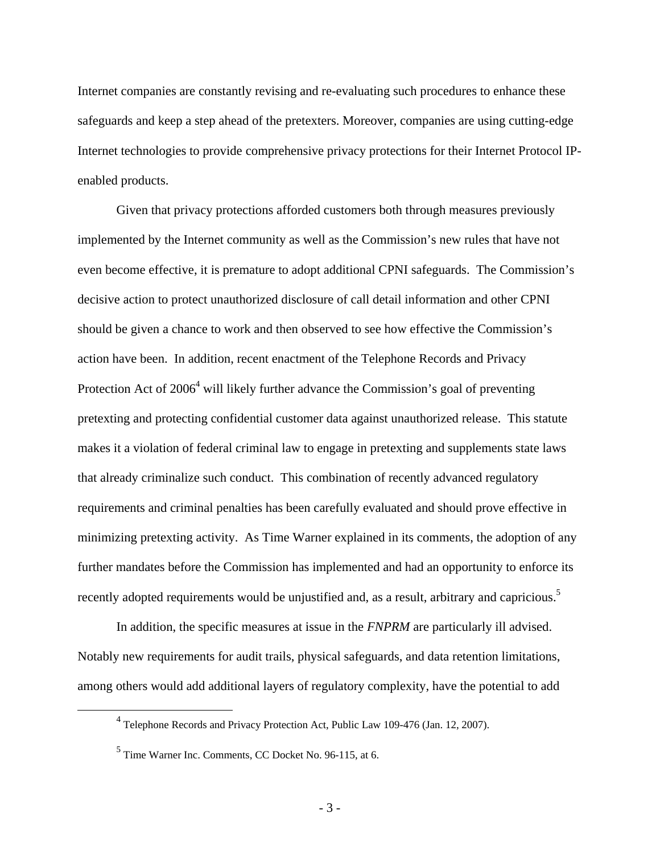Internet companies are constantly revising and re-evaluating such procedures to enhance these safeguards and keep a step ahead of the pretexters. Moreover, companies are using cutting-edge Internet technologies to provide comprehensive privacy protections for their Internet Protocol IPenabled products.

Given that privacy protections afforded customers both through measures previously implemented by the Internet community as well as the Commission's new rules that have not even become effective, it is premature to adopt additional CPNI safeguards. The Commission's decisive action to protect unauthorized disclosure of call detail information and other CPNI should be given a chance to work and then observed to see how effective the Commission's action have been. In addition, recent enactment of the Telephone Records and Privacy Protection Act of  $2006<sup>4</sup>$  will likely further advance the Commission's goal of preventing pretexting and protecting confidential customer data against unauthorized release. This statute makes it a violation of federal criminal law to engage in pretexting and supplements state laws that already criminalize such conduct. This combination of recently advanced regulatory requirements and criminal penalties has been carefully evaluated and should prove effective in minimizing pretexting activity. As Time Warner explained in its comments, the adoption of any further mandates before the Commission has implemented and had an opportunity to enforce its recently adopted requirements would be unjustified and, as a result, arbitrary and capricious.<sup>5</sup>

In addition, the specific measures at issue in the *FNPRM* are particularly ill advised. Notably new requirements for audit trails, physical safeguards, and data retention limitations, among others would add additional layers of regulatory complexity, have the potential to add

 $\overline{4}$ Telephone Records and Privacy Protection Act, Public Law 109-476 (Jan. 12, 2007).

<sup>5</sup> Time Warner Inc. Comments, CC Docket No. 96-115, at 6.